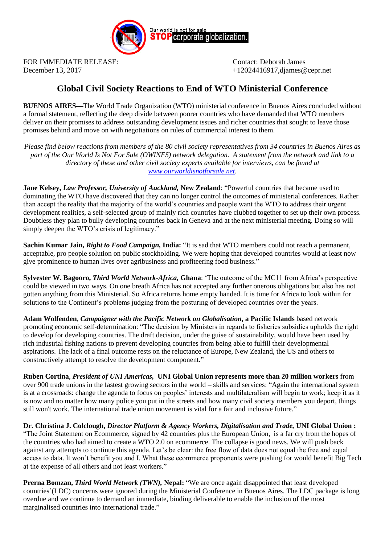

FOR IMMEDIATE RELEASE: Contact: Deborah James

December 13, 2017 +12024416917,djames@cepr.net

## **Global Civil Society Reactions to End of WTO Ministerial Conference**

**BUENOS AIRES—**The World Trade Organization (WTO) ministerial conference in Buenos Aires concluded without a formal statement, reflecting the deep divide between poorer countries who have demanded that WTO members deliver on their promises to address outstanding development issues and richer countries that sought to leave those promises behind and move on with negotiations on rules of commercial interest to them.

*Please find below reactions from members of the 80 civil society representatives from 34 countries in Buenos Aires as part of the Our World Is Not For Sale (OWINFS) network delegation. A statement from the network and link to a directory of these and other civil society experts available for interviews, can be found at [www.ourworldisnotforsale.net.](http://www.ourworldisnotforsale.net/)* 

**Jane Kelsey,** *Law Professor, University of Auckland,* **New Zealand**: "Powerful countries that became used to dominating the WTO have discovered that they can no longer control the outcomes of ministerial conferences. Rather than accept the reality that the majority of the world's countries and people want the WTO to address their urgent development realities, a self-selected group of mainly rich countries have clubbed together to set up their own process. Doubtless they plan to bully developing countries back in Geneva and at the next ministerial meeting. Doing so will simply deepen the WTO's crisis of legitimacy."

**Sachin Kumar Jain,** *Right to Food Campaign,* **India:** "It is sad that WTO members could not reach a permanent, acceptable, pro people solution on public stockholding. We were hoping that developed countries would at least now give prominence to human lives over agribusiness and profiteering food business."

**Sylvester W. Bagooro,** *Third World Network-Africa,* **Ghana**: 'The outcome of the MC11 from Africa's perspective could be viewed in two ways. On one breath Africa has not accepted any further onerous obligations but also has not gotten anything from this Ministerial. So Africa returns home empty handed. It is time for Africa to look within for solutions to the Continent's problems judging from the posturing of developed countries over the years.

**Adam Wolfenden***, Campaigner with the Pacific Network on Globalisation***, a Pacific Islands** based network promoting economic self-determination: "The decision by Ministers in regards to fisheries subsidies upholds the right to develop for developing countries. The draft decision, under the guise of sustainability, would have been used by rich industrial fishing nations to prevent developing countries from being able to fulfill their developmental aspirations. The lack of a final outcome rests on the reluctance of Europe, New Zealand, the US and others to constructively attempt to resolve the development component."

**Ruben Cortina**, *President of UNI Americas,* **UNI Global Union represents more than 20 million workers** from over 900 trade unions in the fastest growing sectors in the world – skills and services: "Again the international system is at a crossroads: change the agenda to focus on peoples' interests and multilateralism will begin to work; keep it as it is now and no matter how many police you put in the streets and how many civil society members you deport, things still won't work. The international trade union movement is vital for a fair and inclusive future."

**Dr. Christina J. Colclough,** *Director Platform & Agency Workers, Digitalisation and Trade,* **UNI Global Union :**  "The Joint Statement on Ecommerce, signed by 42 countries plus the European Union, is a far cry from the hopes of the countries who had aimed to create a WTO 2.0 on ecommerce. The collapse is good news. We will push back against any attempts to continue this agenda. Let's be clear: the free flow of data does not equal the free and equal access to data. It won't benefit you and I. What these ecommerce proponents were pushing for would benefit Big Tech at the expense of all others and not least workers."

**Prerna Bomzan,** *Third World Network (TWN),* **Nepal:** "We are once again disappointed that least developed countries'(LDC) concerns were ignored during the Ministerial Conference in Buenos Aires. The LDC package is long overdue and we continue to demand an immediate, binding deliverable to enable the inclusion of the most marginalised countries into international trade."